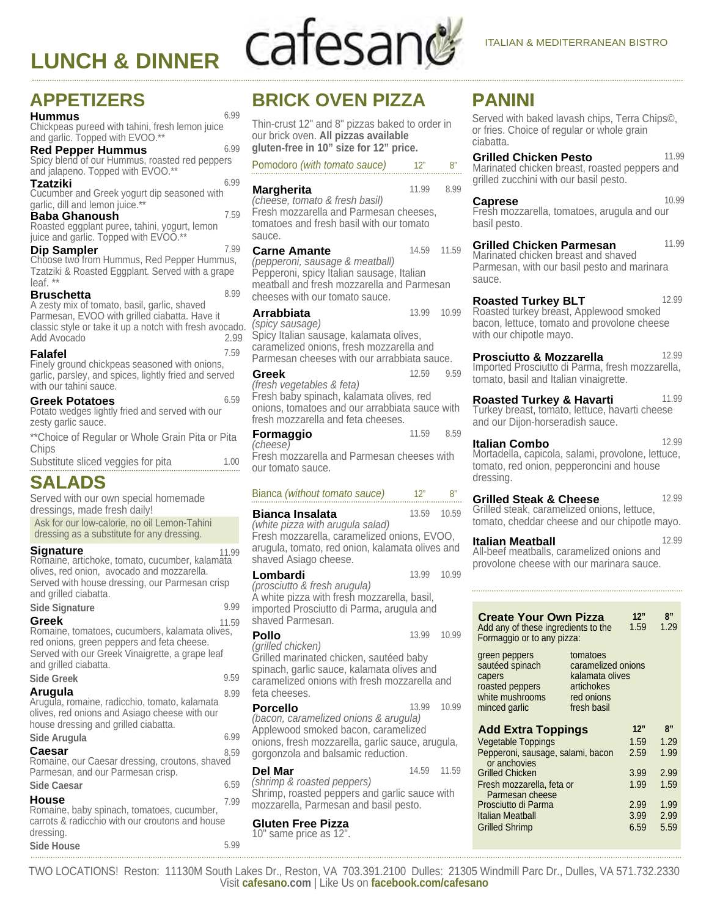# **LUNCH & DINNER**

# cafesan

# **APPETIZERS**

Chickpeas pureed with tahini, fresh lemon juice **Hummus** 6.99 and garlic. Topped with EVOO.\*\*

Spicy blend of our Hummus, roasted red peppers and jalapeno. Topped with EVOO.\*\* **Red Pepper Hummus** 6.99

Cucumber and Greek yogurt dip seasoned with **Tzatziki** 6.99 garlic, dill and lemon juice.\*\*

Roasted eggplant puree, tahini, yogurt, lemon **Baba Ghanoush** 7.59

juice and garlic. Topped with EVOO.\*\*

Choose two from Hummus, Red Pepper Hummus, **Dip Sampler** 7.99Tzatziki & Roasted Eggplant. Served with a grape leaf. \*\*

A zesty mix of tomato, basil, garlic, shaved Parmesan, EVOO with grilled ciabatta. Have it classic style or take it up a notch with fresh avocado. Add Avocado **Bruschetta** 8.99

Finely ground chickpeas seasoned with onions, **Falafel** 7.59 garlic, parsley, and spices, lightly fried and served with our tahini sauce.

6.59 **Greek Potatoes**<br>Potato wedges lightly fried and served with our zesty garlic sauce.

\*\*Choice of Regular or Whole Grain Pita or Pita **Chips** 

Substitute sliced veggies for pita 1.00

# **SALADS**

Ask for our low-calorie, no oil Lemon-Tahini dressing as a substitute for any dressing. Served with our own special homemade dressings, made fresh daily!

#### **Signature**

11.99 Romaine, artichoke, tomato, cucumber, kalamata olives, red onion, avocado and mozzarella. Served with house dressing, our Parmesan crisp and grilled ciabatta.

#### **Side Signature** 9.99

**Side Greek** 9.59 Romaine, tomatoes, cucumbers, kalamata olives, **Greek** 11.59 red onions, green peppers and feta cheese. Served with our Greek Vinaigrette, a grape leaf and grilled ciabatta.

| эюе стеек                                                                                                                                         | Y JY |
|---------------------------------------------------------------------------------------------------------------------------------------------------|------|
| Arugula<br>Arugula, romaine, radicchio, tomato, kalamata<br>olives, red onions and Asiago cheese with our<br>house dressing and grilled ciabatta. | 8.99 |
| Side Arugula                                                                                                                                      | 6.99 |
| Caesar<br>Romaine, our Caesar dressing, croutons, shaved<br>Parmesan, and our Parmesan crisp.                                                     | 8.59 |
| <b>Side Caesar</b>                                                                                                                                | 6.59 |
| House<br>Romaine, baby spinach, tomatoes, cucumber,<br>carrots & radicchio with our croutons and house                                            | 7.99 |

adicchio with our croutons and house dressing. **Side House** 5.99

# **BRICK OVEN PIZZA**

Thin-crust 12" and 8" pizzas baked to order in our brick oven. **All pizzas available gluten-free in 10" size for 12" price.**

Pomodoro *(with tomato sauce)* 12" 8"

Fresh mozzarella and Parmesan cheeses, tomatoes and fresh basil with our tomato sauce. *(cheese, tomato & fresh basil)*  **Margherita** 11.99 8.99 Pepperoni, spicy Italian sausage, Italian meatball and fresh mozzarella and Parmesan cheeses with our tomato sauce. *(pepperoni, sausage & meatball)*  **Carne Amante** 14.59 11.59 Spicy Italian sausage, kalamata olives, caramelized onions, fresh mozzarella and Parmesan cheeses with our arrabbiata sauce. *(spicy sausage)*  **Arrabbiata** 13.99 10.99 Fresh baby spinach, kalamata olives, red onions, tomatoes and our arrabbiata sauce with fresh mozzarella and feta cheeses. *(fresh vegetables & feta)*  **Greek** 12.59 9.59 Fresh mozzarella and Parmesan cheeses with *(cheese)*  **Formaggio** 11.59 8.59

#### Bianca *(without tomato sauce)* 12" 8"

our tomato sauce.

Fresh mozzarella, caramelized onions, EVOO, arugula, tomato, red onion, kalamata olives and shaved Asiago cheese. *(white pizza with arugula salad)*  **Bianca Insalata** 13.59 10.59 **Lombardi** 13.99 10.99

A white pizza with fresh mozzarella, basil, imported Prosciutto di Parma, arugula and shaved Parmesan. *(prosciutto & fresh arugula)* 

*(grilled chicken)* **Pollo** 13.99 10.99

Grilled marinated chicken, sautéed baby spinach, garlic sauce, kalamata olives and caramelized onions with fresh mozzarella and feta cheeses.

Applewood smoked bacon, caramelized onions, fresh mozzarella, garlic sauce, arugula, gorgonzola and balsamic reduction. *(bacon, caramelized onions & arugula)*  **Porcello** 13.99 10.99

Shrimp, roasted peppers and garlic sauce with mozzarella, Parmesan and basil pesto. *(shrimp & roasted peppers)* **Del Mar** 14.59 11.59

10" same price as 12". **Gluten Free Pizza**

# **PANINI**

Served with baked lavash chips, Terra Chips©, or fries. Choice of regular or whole grain ciabatta.

Marinated chicken breast, roasted peppers and grilled zucchini with our basil pesto. **Grilled Chicken Pesto** 11.99

Fresh mozzarella, tomatoes, arugula and our basil pesto. **Caprese** 10.99

Marinated chicken breast and shaved Parmesan, with our basil pesto and marinara sauce. **Grilled Chicken Parmesan** 11.99

Roasted turkey breast, Applewood smoked bacon, lettuce, tomato and provolone cheese with our chipotle mayo. **Roasted Turkey BLT** 12.99

Imported Prosciutto di Parma, fresh mozzarella, tomato, basil and Italian vinaigrette. **Prosciutto & Mozzarella** 12.99

Turkey breast, tomato, lettuce, havarti cheese and our Dijon-horseradish sauce. **Roasted Turkey & Havarti** 11.99

Mortadella, capicola, salami, provolone, lettuce, tomato, red onion, pepperoncini and house dressing. **Italian Combo** 12.99

Grilled steak, caramelized onions, lettuce, tomato, cheddar cheese and our chipotle mayo. **Grilled Steak & Cheese** 12.99

All-beef meatballs, caramelized onions and provolone cheese with our marinara sauce. **Italian Meatball** 12.99

| <b>Create Your Own Pizza</b><br>Add any of these ingredients to the<br>Formaggio or to any pizza: |                                                                                              | 12"<br>1.59 | 8"<br>1.29 |
|---------------------------------------------------------------------------------------------------|----------------------------------------------------------------------------------------------|-------------|------------|
| green peppers<br>sautéed spinach<br>capers<br>roasted peppers<br>white mushrooms<br>minced garlic | tomatoes<br>caramelized onions<br>kalamata olives<br>artichokes<br>red onions<br>fresh basil |             |            |
| <b>Add Extra Toppings</b>                                                                         |                                                                                              | 12"         | 8"         |
| <b>Vegetable Toppings</b>                                                                         |                                                                                              | 1.59        | 1.29       |
| Pepperoni, sausage, salami, bacon<br>or anchovies                                                 |                                                                                              | 2.59        | 1.99       |
|                                                                                                   |                                                                                              |             |            |
| <b>Grilled Chicken</b>                                                                            |                                                                                              | 3.99        | 2.99       |
| Fresh mozzarella, feta or<br>Parmesan cheese                                                      |                                                                                              | 1.99        | 1.59       |
| Prosciutto di Parma                                                                               |                                                                                              | 2.99        | 1.99       |
| Italian Meatball                                                                                  |                                                                                              | 3.99        | 2.99       |

Visit **cafesano.com** | Like Us on **facebook.com/cafesano** TWO LOCATIONS! Reston: 11130M South Lakes Dr., Reston, VA 703.391.2100 Dulles: 21305 Windmill Parc Dr., Dulles, VA 571.732.2330